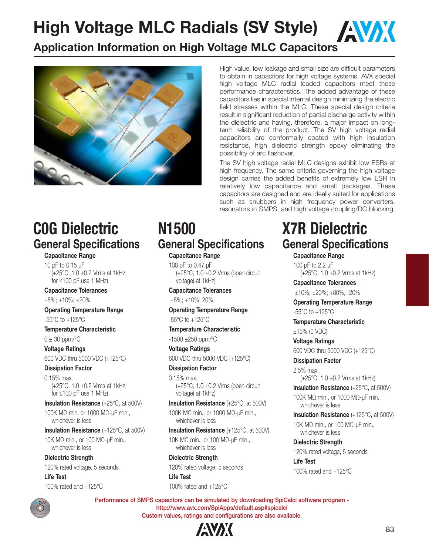**High Voltage MLC Radials (SV Style) / AVAX** 

### **Application Information on High Voltage MLC Capacitors**



High value, low leakage and small size are difficult parameters to obtain in capacitors for high voltage systems. AVX special high voltage MLC radial leaded capacitors meet these performance characteristics. The added advantage of these capacitors lies in special internal design minimizing the electric field stresses within the MLC. These special design criteria result in significant reduction of partial discharge activity within the dielectric and having, therefore, a major impact on longterm reliability of the product. The SV high voltage radial capacitors are conformally coated with high insulation resistance, high dielectric strength epoxy eliminating the possibility of arc flashover.

The SV high voltage radial MLC designs exhibit low ESRs at high frequency. The same criteria governing the high voltage design carries the added benefits of extremely low ESR in relatively low capacitance and small packages. These capacitors are designed and are ideally suited for applications such as snubbers in high frequency power converters, resonators in SMPS, and high voltage coupling/DC blocking.

## **COG Dielectric C0G Dielectric General Specifications**

### **Capacitance Range**

10 pF to 0.15 μF (+25°C, 1.0 ±0.2 Vrms at 1kHz, for ≤100 pF use 1 MHz)

#### **Capacitance Tolerances**

±5%; ±10%; ±20%

#### **Operating Temperature Range** -55°C to +125°C

**Temperature Characteristic**

 $0 \pm 30$  ppm/ $\degree$ C

**Voltage Ratings**

600 VDC thru 5000 VDC (+125°C)

**Dissipation Factor** 0.15% max. (+25°C, 1.0 ±0.2 Vrms at 1kHz, for ≤100 pF use 1 MHz)

**Insulation Resistance** (+25°C, at 500V) 100K MΩ min. or 1000 MΩ-μF min., whichever is less

**Insulation Resistance** (+125°C, at 500V) 10K MΩ min., or 100 MΩ-μF min.,

whichever is less

**Dielectric Strength** 120% rated voltage, 5 seconds **Life Test**

100% rated and +125°C

### N<sub>1500</sub> **N1500 General Specifications**

### **Capacitance Range**

100 pF to 0.47 μF  $(+25^{\circ}$ C, 1.0  $\pm$ 0.2 Vrms (open circuit voltage) at 1kHz)

### **Capacitance Tolerances**

±5%; ±10%; 20%

#### **Operating Temperature Range** -55°C to +125°C

### **Temperature Characteristic**

-1500 ±250 ppm/ºC

### **Voltage Ratings**

600 VDC thru 5000 VDC (+125°C)

### **Dissipation Factor**

0.15% max.  $(+25^{\circ}C, 1.0 \pm 0.2$  Vrms (open circuit voltage) at 1kHz)

**Insulation Resistance** (+25°C, at 500V) 100K MΩ min., or 1000 MΩ-μF min., whichever is less

**Insulation Resistance** (+125°C, at 500V)

10K MΩ min., or 100 MΩ-μF min., whichever is less

**Dielectric Strength** 120% rated voltage, 5 seconds

**Life Test** 100% rated and +125°C

### **X7R Dielectric X7R Dielectric General Specifications**

**Capacitance Range**

100 pF to 2.2 μF (+25°C, 1.0 ±0.2 Vrms at 1kHz)

**Capacitance Tolerances** ±10%; ±20%; +80%, -20%

**Operating Temperature Range** -55°C to +125°C

**Temperature Characteristic** ±15% (0 VDC)

**Voltage Ratings**

600 VDC thru 5000 VDC (+125°C)

**Dissipation Factor** 2.5% max.

(+25°C, 1.0 ±0.2 Vrms at 1kHz) **Insulation Resistance** (+25°C, at 500V)

100K MΩ min., or 1000 MΩ-μF min., whichever is less

**Insulation Resistance** (+125°C, at 500V) 10K MΩ min., or 100 MΩ-μF min., whichever is less

**Dielectric Strength** 120% rated voltage, 5 seconds

**Life Test** 100% rated and +125°C



**Performance of SMPS capacitors can be simulated by downloading SpiCalci software program http://www.avx.com/SpiApps/default.asp#spicalci Custom values, ratings and configurations are also available.**

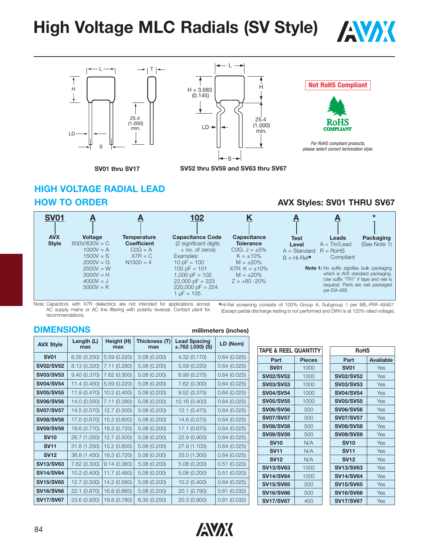# **High Voltage MLC Radials (SV Style) / AVAX**







### **Not RoHS Compliant**



*For RoHS compliant products, please select correct termination style.*

**SV01 thru SV17**

### **HIGH VOLTAGE RADIAL LEAD HOW TO ORDER AVX Styles: SV01 THRU SV67**



Note: Capacitors with X7R dielectrics are not intended for applications across AC supply mains or AC line filtering with polarity reversal. Contact plant for recommendations.

**\***Hi-Rel screening consists of 100% Group A, Subgroup 1 per MIL-PRF-49467. (Except partial discharge testing is not performed and DWV is at 120% rated voltage).

### **DIMENSIONS millimeters (inches)**

| <b>AVX Style</b> | Length (L)<br>max | Height (H)<br>max | Thickness (T)<br>max | <b>Lead Spacing</b><br>$\pm$ .762 (.030) (S) | LD (Nom)    |
|------------------|-------------------|-------------------|----------------------|----------------------------------------------|-------------|
| <b>SV01</b>      | 6.35(0.250)       | 5.59 (0.220)      | 5.08 (0.200)         | 4.32 (0.170)                                 | 0.64(0.025) |
| <b>SV02/SV52</b> | 8.13 (0.320)      | 7.11 (0.280)      | 5.08 (0.200)         | 5.59 (0.220)                                 | 0.64(0.025) |
| <b>SV03/SV53</b> | 9.40(0.370)       | 7.62 (0.300)      | 5.08 (0.200)         | 6.99(0.275)                                  | 0.64(0.025) |
| <b>SV04/SV54</b> | 11.4 (0.450)      | 5.59(0.220)       | 5.08 (0.200)         | 7.62 (0.300)                                 | 0.64(0.025) |
| <b>SV05/SV55</b> | 11.9 (0.470)      | 10.2 (0.400)      | 5.08(0.200)          | 9.52(0.375)                                  | 0.64(0.025) |
| <b>SV06/SV56</b> | 14.0 (0.550)      | 7.11 (0.280)      | 5.08 (0.200)         | 10.16 (0.400)                                | 0.64(0.025) |
| <b>SV07/SV57</b> | 14.5 (0.570)      | 12.7 (0.500)      | 5.08 (0.200)         | 12.1 (0.475)                                 | 0.64(0.025) |
| <b>SV08/SV58</b> | 17.0 (0.670)      | 15.2 (0.600)      | 5.08 (0.200)         | 14.6 (0.575)                                 | 0.64(0.025) |
| <b>SV09/SV59</b> | 19.6 (0.770)      | 18.3 (0.720)      | 5.08 (0.200)         | 17.1 (0.675)                                 | 0.64(0.025) |
| <b>SV10</b>      | 26.7 (1.050)      | 12.7 (0.500)      | 5.08 (0.200)         | 22.9 (0.900)                                 | 0.64(0.025) |
| <b>SV11</b>      | 31.8 (1.250)      | 15.2 (0.600)      | 5.08 (0.200)         | 27.9 (1.100)                                 | 0.64(0.025) |
| <b>SV12</b>      | 36.8 (1.450)      | 18.3 (0.720)      | 5.08 (0.200)         | 33.0 (1.300)                                 | 0.64(0.025) |
| <b>SV13/SV63</b> | 7.62 (0.300)      | 9.14(0.360)       | 5.08 (0.200)         | 5.08(0.200)                                  | 0.51(0.020) |
| <b>SV14/SV64</b> | 10.2 (0.400)      | 11.7 (0.460)      | 5.08 (0.200)         | 5.08 (0.200)                                 | 0.51(0.020) |
| <b>SV15/SV65</b> | 12.7 (0.500)      | 14.2 (0.560)      | 5.08 (0.200)         | 10.2 (0.400)                                 | 0.64(0.025) |
| <b>SV16/SV66</b> | 22.1 (0.870)      | 16.8 (0.660)      | 5.08 (0.200)         | 20.1 (0.790)                                 | 0.81(0.032) |
| <b>SV17/SV67</b> | 23.6 (0.930)      | 19.8 (0.780)      | 6.35(0.250)          | 20.3 (0.800)                                 | 0.81(0.032) |

| TAPE & REEL QUANTITY   |               | <b>RoHS</b>            |           |  |
|------------------------|---------------|------------------------|-----------|--|
| Part                   | <b>Pieces</b> | Part                   | Available |  |
| <b>SV01</b>            | 1000          | <b>SV01</b>            | Yes       |  |
| <b>SV02/SV52</b>       | 1000          | <b>SV02/SV52</b>       | Yes       |  |
| <b>SV03/SV53</b>       | 1000          | <b>SV03/SV53</b>       | Yes       |  |
| <b>SV04/SV54</b>       | 1000          | <b>SV04/SV54</b>       | Yes       |  |
| <b>SV05/SV55</b>       | 1000          | <b>SV05/SV55</b>       | Yes       |  |
| <b>SV06/SV56</b>       | 500           | <b>SV06/SV56</b>       | Yes       |  |
| <b>SV07/SV57</b>       | 500           | <b>SV07/SV57</b>       | Yes       |  |
| <b>SV08/SV58</b>       | 500           | <b>SV08/SV58</b>       | Yes       |  |
| <b>SV09/SV59</b>       | 500           | <b>SV09/SV59</b>       | Yes       |  |
| <b>SV<sub>10</sub></b> | N/A           | <b>SV<sub>10</sub></b> | Yes       |  |
| <b>SV11</b>            | N/A           | <b>SV11</b>            | Yes       |  |
| <b>SV12</b>            | N/A           | <b>SV12</b>            | Yes       |  |
| <b>SV13/SV63</b>       | 1000          | <b>SV13/SV63</b>       | Yes       |  |
| <b>SV14/SV64</b>       | 1000          | <b>SV14/SV64</b>       | Yes       |  |
| <b>SV15/SV65</b>       | 500           | <b>SV15/SV65</b>       | Yes       |  |
| <b>SV16/SV66</b>       | 500           | <b>SV16/SV66</b>       | Yes       |  |
| <b>SV17/SV67</b>       | 400           | <b>SV17/SV67</b>       | Yes       |  |

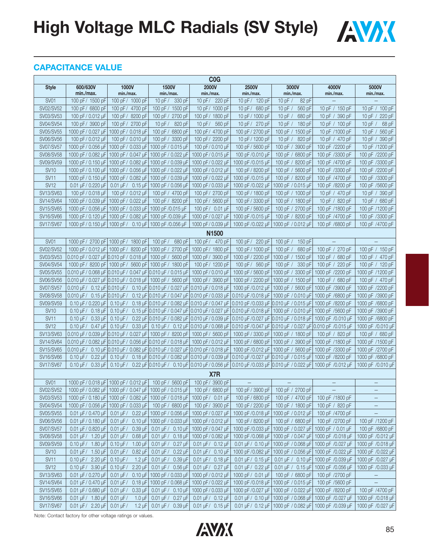**High Voltage MLC Radials (SV Style) / AVAX** 



### **CAPACITANCE VALUE**

| C <sub>0</sub> G       |                                                     |                                                                            |                                                                                                 |                                                     |                                       |                                                                                                           |                                       |                      |
|------------------------|-----------------------------------------------------|----------------------------------------------------------------------------|-------------------------------------------------------------------------------------------------|-----------------------------------------------------|---------------------------------------|-----------------------------------------------------------------------------------------------------------|---------------------------------------|----------------------|
| <b>Style</b>           | 600/630V<br>min./max.                               | 1000V<br>min./max.                                                         | <b>1500V</b><br>min./max.                                                                       | 2000V<br>min./max.                                  | 2500V<br>min./max.                    | 3000V<br>min./max.                                                                                        | 4000V<br>min./max.                    | 5000V<br>min./max.   |
| SV01                   | 100 pF/ 1500 pF                                     | 100 pF / 1000 pF                                                           | 10pF/<br>330 pF                                                                                 | 10pF/<br>220 pF                                     | 10 pF / 120 pF                        | 10pF/<br>82 pF                                                                                            |                                       |                      |
| SV02/SV52              | 100 pF/ 6800 pF                                     | 100 pF / 4700 pF                                                           | 100 pF / 1500 pF                                                                                | 10 pF/ 1000 pF                                      | 10 pF $/$<br>680 pF                   | 10 pF $/$<br>560 pF                                                                                       | 10 pF / 150 pF                        | 10 pF $/$<br>100 pF  |
| SV03/SV53              | 100 pF/0.012 uF                                     | 100 pF/ 8200 pF                                                            | 100 pF / 2700 pF                                                                                | 100 pF/ 1800 pF                                     | 10 pF / 1000 pF                       | 10 pF $/$<br>680 pF                                                                                       | 10 pF / 390 pF                        | 10 pF $/$<br>220 pF  |
| SV04/SV54              | 100 pF/ 3900 pF                                     | 100 pF/ 2700 pF                                                            | 10pF/<br>820 pF                                                                                 | 10pF/<br>560 pF                                     | 10 pF / 270 pF                        | 10pF/<br>180 pF                                                                                           | 10 pF / 100 pF                        | 10pF/<br>68 pF       |
| SV05/SV55              | 1000 pF/ 0.027 µF                                   | 1000 pF / 0.018 µF                                                         | 100 pF / 6800 pF                                                                                | 100 pF/ 4700 pF                                     | 100 pF / 2700 pF                      | 100 pF / 1500 pF                                                                                          | 10 pF /1000 pF                        | 560 pF<br>10 pF $/$  |
| SV06/SV56              | 100 pF/0.012 uF                                     | 100 pF / 0.010 uF                                                          | 100 pF / 3300 pF                                                                                | 100 pF/ 2200 pF                                     | 10 pF / 1200 pF                       | 10pF/<br>820 pF                                                                                           | 10 pF / 470 pF                        | 10 pF $/$<br>390 pF  |
| SV07/SV57              | 1000 pF/ 0.056 µF                                   | 1000 pF / 0.033 µF                                                         | 1000 pF / 0.015 µF                                                                              | 100 pF/ 0.010 µF                                    | 100 pF / 5600 pF                      | 100 pF / 3900 pF                                                                                          | 100 pF /2200 pF                       | 10 pF /1200 pF       |
| SV08/SV58              | 1000 pF/0.082 µF                                    | 1000 pF / 0.047 µF                                                         | 1000 pF / 0.022 µF                                                                              | 1000 pF/ 0.015 µF                                   | 100 pF/0.010 µF                       | 100 pF / 6800 pF                                                                                          | 100 pF /3300 pF                       | 100 pF /2200 pF      |
| SV09/SV59              | 1000 pF/0.150 uF                                    |                                                                            | 1000 pF / 0.082 uF 1000 pF / 0.039 uF                                                           | 1000 pF/0.022 uF                                    | 1000 pF/0.015 µF                      | 100 pF / 8200 pF                                                                                          | 100 pF /4700 pF                       | 100 pF /3300 pF      |
| <b>SV10</b>            | 1000 pF/0.100 µF                                    | 1000 pF / 0.056 µF                                                         | 1000 pF / 0.022 µF                                                                              | 1000 pF/0.012 µF                                    | 100 pF / 8200 pF                      | 100 pF / 5600 pF                                                                                          | 100 pF /3300 pF                       | 100 pF /2200 pF      |
| <b>SV11</b>            | 1000 pF/0.150 µF                                    | 1000 pF / 0.082 µF                                                         | 1000 pF / 0.039 µF                                                                              | 1000 pF/ 0.022 µF                                   | 1000 pF/0.015 µF                      | 100 pF / 8200 pF                                                                                          | 100 pF /4700 pF                       | 100 pF /3300 pF      |
| <b>SV12</b>            | 0.01 µF / 0.220 µF                                  |                                                                            | 0.01 µF / 0.15 µF 1000 pF / 0.056 µF                                                            | 1000 pF/ 0.033 µF                                   | 1000 pF/0.022 µF                      | 1000 pF / 0.015 µF                                                                                        | 100 pF /8200 pF                       | 100 pF /5600 pF      |
| SV13/SV63              | 100 pF/0.018 µF                                     | 100 pF / 0.012 µF                                                          | 100 pF / 4700 pF                                                                                | 100 pF/ 2700 pF                                     | 100 pF / 1800 pF                      | 100 pF / 1000 pF                                                                                          | 10 pF / 470 pF                        | 10 pF $/$<br>390 pF  |
| SV14/SV64              | 1000 pF/ 0.039 µF                                   | 1000 pF / 0.022 µF                                                         | 100 pF / 8200 pF                                                                                | 100 pF/ 5600 pF                                     | 100 pF / 3300 pF                      | 100 pF / 1800 pF                                                                                          | 10 pF / 820 pF                        | 10 pF $/$<br>680 pF  |
| SV15/SV65              | 1000 pF/0.056 uF                                    | 1000 pF / 0.033 uF 1000 pF /0.015 uF                                       |                                                                                                 | 100 pF/ 0.01 µF                                     | 100 pF / 5600 pF                      | 100 pF / 2700 pF                                                                                          | 100 pF /1800 pF                       | 100 pF /1200 pF      |
| SV16/SV66              | 1000 pF/0.120 µF                                    | 1000 pF / 0.082 µF                                                         | 1000 pF /0.039 µF                                                                               | 1000 pF/ 0.027 µF                                   | 1000 pF/0.015 µF                      | 100 pF / 8200 pF                                                                                          | 100 pF /4700 pF                       | 100 pF /3300 pF      |
| <b>SV17/SV67</b>       |                                                     | 1000 pF/ 0.150 uF 1000 pF/ 0.10 uF 1000 pF/0.056 uF                        |                                                                                                 | 1000 pF/ 0.039 µF                                   | 1000 pF/0.022 µF                      | 1000 pF / 0.012 µF                                                                                        | 100 pF /6800 pF                       | 100 pF /4700 pF      |
|                        |                                                     |                                                                            |                                                                                                 | N <sub>1500</sub>                                   |                                       |                                                                                                           |                                       |                      |
| <b>SV01</b>            |                                                     | 1000 pF/ 2700 pF 1000 pF/ 1800 pF                                          | 100 pF $/$<br>680 pF                                                                            | 100 pF/ 470 pF                                      | 100 pF/<br>220 pF                     | 100 pF $/$<br>150 pF                                                                                      |                                       |                      |
| SV02/SV52              |                                                     | 1000 pF/ 0.012 µF 1000 pF/ 8200 pF 1000 pF/ 2700 pF                        |                                                                                                 | 1000 pF/ 1800 pF                                    | 100 pF / 1000 pF                      | 100 pF $/$<br>680 pF                                                                                      | 100 pF /<br>270 pF                    | 100 pF $/$<br>150 pF |
| SV03/SV53              |                                                     | 0.010 pF/0.027 uF 0.010 pF/0.018 uF 1000 pF/5600 pF                        |                                                                                                 | 1000 pF/ 3900 pF                                    | 1000 pF / 2200 pF                     | 1000 pF / 1500 pF                                                                                         | 100 pF $/$<br>680 pF                  | 100 pF $/$<br>470 pF |
| SV04/SV54              | 1000 pF/ 8200 pF                                    | 1000 pF / 5600 pF 1000 pF / 1800 pF                                        |                                                                                                 | 100 pF/ 1200 pF                                     | 100pF/<br>560 pF                      | 100 pF $/$<br>330 pF                                                                                      | 100 pF /<br>220 pF                    | 100 pF $/$<br>120 pF |
| SV05/SV55              |                                                     | 0.010 µF/ 0.068 µF 0.010 µF/ 0.047 µF 0.010 µF / 0.015 µF                  |                                                                                                 | 1000 pF/ 0.010 µF                                   | 1000 pF / 5600 pF                     | 1000 pF / 3300 pF                                                                                         | 1000 pF /2200 pF                      | 1000 pF /1200 pF     |
| SV06/SV56              |                                                     | 0.010 µF/ 0.027 µF 0.010 µF/ 0.018 µF 1000 pF/ 5600 pF                     |                                                                                                 | 1000 pF/ 3900 pF                                    | 1000 pF / 2200 pF                     | 1000 pF / 1500 pF                                                                                         | 100 pF / 680 pF                       | 100 pF / 470 pF      |
| SV07/SV57              | 0.010 µF/ 0.12 µF 0.010 µF/                         |                                                                            | 0.10 µF 0.010 µF / 0.027 µF 0.010 µF / 0.018 µF                                                 |                                                     | 1000 pF/0.012 µF                      | 1000 pF / 5600 pF                                                                                         | 1000 pF /3900 pF                      | 1000 pF /2200 pF     |
| SV08/SV58              |                                                     | 0.010 µF/ 0.15 µF 0.010 µF/ 0.12 µF 0.010 µF / 0.047 µF 0.010 pF/ 0.033 µF |                                                                                                 |                                                     | 0.010 µF /0.018 µF                    | 1000 pF / 0.010 µF                                                                                        | 1000 pF /6800 pF                      | 1000 pF /3900 pF     |
| SV09/SV59              | 0.10 µF / 0.220 µF                                  | $0.10 \mu F/$                                                              |                                                                                                 | 0.18 µF 0.010 µF / 0.082 µF 0.010 µF / 0.047 µF     | 0.010 pF/0.033 µF 0.010 µF / 0.015 µF |                                                                                                           | 1000 pF /8200 pF                      | 1000 pF /6800 pF     |
| <b>SV10</b>            | $0.10 \mu F/$<br>$0.18 \mu F$                       | $0.10 \mu F/$                                                              | 0.15 µF 0.010 µF / 0.047 µF 0.010 µF / 0.027 µF                                                 |                                                     |                                       | 0.010 µF /0.018 µF   1000 pF / 0.010 µF                                                                   | 1000 pF /5600 pF                      | 1000 pF /3900 pF     |
| SV <sub>11</sub>       | $0.10 \mu F/$<br>$0.33 \mu F$                       | $0.10 \mu F/$                                                              | 0.22 µF 0.010 µF / 0.082 µF 0.010 µF / 0.039 µF                                                 |                                                     |                                       | 0.010 µF/0.027 µF 0.010 µF / 0.018 µF                                                                     | 1000 pF /0.010 µF                     | 1000 pF /6800 pF     |
| <b>SV12</b>            | $0.10 \text{ uF}$<br>0.47 uF                        | $0.10 \text{ uF}$                                                          |                                                                                                 | 0.33 µF   0.10 µF / 0.12 µF   0.010 µF / 0.068 µF   |                                       | 0.010 pF/0.047 µF 0.010 µF / 0.027 µF 0.010 pF /0.015 µF                                                  |                                       | 1000 pF /0.010 µF    |
| SV13/SV63              |                                                     | 0.010 µF/0.039 µF 0.010 µF/0.027 µF 1000 pF/8200 pF                        |                                                                                                 | 1000 pF/ 5600 pF                                    |                                       | 1000 pF / 3300 pF   1000 pF / 1800 pF                                                                     | 100 pF / 820 pF                       | 100 pF / 680 pF      |
| SV14/SV64              |                                                     | 0.010 µF/0.082 µF 0.010 µF/0.056 µF 0.010 pF/0.018 µF                      |                                                                                                 | 1000 pF/0.012 uF                                    | 1000 pF / 6800 pF                     | 1000 pF / 3900 pF                                                                                         | 1000 pF /1800 pF                      | 1000 pF /1500 pF     |
| SV15/SV65              | 0.010 uF/                                           | 0.10 uF 0.010 uF / 0.082 uF 0.010 uF / 0.027 uF 0.010 pF / 0.018 uF        |                                                                                                 |                                                     |                                       | 1000 pF/0.012 uF 1000 pF / 5600 pF 1000 pF /3300 pF                                                       |                                       | 1000 pF /2700 pF     |
| SV16/SV66              | $0.10 \mu F/$<br>$0.22$ uF                          | $0.10 \mu F/$                                                              | 0.18 µF 0.010 µF / 0.082 µF 0.010 µF / 0.039 µF                                                 |                                                     |                                       | 0.010 µF /0.027 µF 0.010 µF / 0.015 µF                                                                    | 1000 pF /8200 pF                      | 1000 pF /6800 pF     |
| <b>SV17/SV67</b>       | $0.10 \text{ uF}$<br>$0.33 \mu F$                   | $0.10 \mu F/$                                                              |                                                                                                 |                                                     |                                       | 0.22 μF 0.010 μF / 0.10 μF 0.010 μF / 0.056 μF 0.010 μF / 0.033 μF 0.010 μF / 0.022 μF 1000 pF / 0.012 μF |                                       | 1000 pF /0.010 µF    |
|                        |                                                     |                                                                            |                                                                                                 | X7R                                                 |                                       |                                                                                                           |                                       |                      |
| <b>SV01</b>            |                                                     | 1000 pF/ 0.018 µF 1000 pF/ 0.012 µF                                        | 100 pF / 5600 pF                                                                                | 100 pF/ 3900 pF                                     |                                       |                                                                                                           | $\qquad \qquad -$                     |                      |
| SV02/SV52              |                                                     | 1000 pF/ 0.082 uF 1000 pF/ 0.047 uF 1000 pF/ 0.015 uF 100 pF/ 6800 pF      |                                                                                                 |                                                     | 100 pF / 3900 pF                      | 100 pF / 2700 pF                                                                                          |                                       |                      |
| SV03/SV53              |                                                     | 1000 pF/ 0.180 µF 1000 pF/ 0.082 µF 1000 pF/ 0.018 µF                      |                                                                                                 | 1000 pF/ 0.01 µF                                    | 100 pF / 6800 pF                      | 100 pF / 4700 pF                                                                                          | 100 pF /1800 pF                       | $\qquad \qquad -$    |
| SV04/SV54              | 1000 pF/ 0.056 µF                                   | 1000 pF / 0.033 µF                                                         | 100 pF / 6800 pF                                                                                | 100 pF/ 3900 pF                                     | 100 pF / 2200 pF                      | 100 pF / 1800 pF                                                                                          | 100 pF / 820 pF                       |                      |
| SV05/SV55              | 0.01 µF / 0.470 µF                                  |                                                                            | 0.01 µF / 0.22 µF   1000 pF / 0.056 µF                                                          | 1000 pF/ 0.027 µF                                   | 1000 pF/0.018 µF                      | 1000 pF / 0.012 µF                                                                                        | 100 pF /4700 pF                       |                      |
| SV06/SV56              | $0.01 \mu F / 0.180 \mu F$                          |                                                                            | 0.01 µF/ 0.10 µF 1000 pF / 0.033 µF                                                             | 1000 pF/ 0.012 µF                                   | 100 pF / 8200 pF                      | 100 pF / 6800 pF                                                                                          | 100 pF /2700 pF                       | 100 pF /1200 pF      |
| SV07/SV57              | 0.01 µF / 0.820 µF                                  | $0.01 \,\mathrm{µF}$ /<br>$0.39 \,\mathrm{\upmu F}$                        | $0.01 \,\mathrm{\upmu F}$ / $0.10 \,\mathrm{\upmu F}$                                           | 1000 pF/ 0.047 µF                                   | 1000 pF / 0.033 µF                    | 1000 pF / 0.027 µF                                                                                        | 1000 pF / 0.01 µF                     | 100 pF /6800 pF      |
| SV08/SV58              | $0.01 \,\mu F / 1.20 \,\mu F$                       |                                                                            | $0.01 \,\mathrm{\mu F}$ / $0.68 \,\mathrm{\mu F}$ 0.01 $\mathrm{\mu F}$ / 0.18 $\mathrm{\mu F}$ | 1000 pF/ 0.082 µF                                   | 1000 pF/0.068 µF                      | 1000 pF / 0.047 µF   1000 pF /0.018 µF                                                                    |                                       | 1000 pF /0.012 µF    |
| SV09/SV59              | 0.10 µF / 1.80 µF                                   | $0.10 \mu F / 1.00 \mu F$                                                  | $0.01 \,\mu F / 0.27 \,\mu F$                                                                   | $0.01 \mu F / 0.12 \mu F$                           | $0.01 \,\mu F / 0.10 \,\mu F$         | 1000 pF / 0.068 µF   1000 pF /0.027 µF                                                                    |                                       | 1000 pF /0.018 µF    |
| <b>SV<sub>10</sub></b> | $0.01 \,\mu F / 1.50 \,\mu F$                       | $0.01 \,\mathrm{\mu F} / 0.82 \,\mathrm{\mu F}$                            | 0.01 µF / 0.22 µF                                                                               | $0.01 \,\mu F / 0.10 \,\mu F$                       | 1000 pF/0.082 µF                      | 1000 pF / 0.056 µF 1000 pF /0.022 µF                                                                      |                                       | 1000 pF /0.022 µF    |
| <b>SV11</b>            | $0.10 \,\mathrm{\upmu F} / 2.20 \,\mathrm{\upmu F}$ | $0.10 \mu F/$<br>1.2 $\mu$ F                                               | $0.01 \,\mu F / 0.39 \,\mu F$                                                                   | $0.01 \,\mu F / 0.18 \,\mu F$                       | $0.01 \,\mu F / 0.15 \,\mu F$         |                                                                                                           | 0.01 µF / 0.10 µF   1000 pF /0.039 µF | 1000 pF /0.027 µF    |
| <b>SV12</b>            | $0.10 \mu F / 3.90 \mu F$                           | $0.10 \mu F / 2.20 \mu F$                                                  | $0.01 \mu F / 0.56 \mu F$                                                                       | $0.01 \mu F / 0.27 \mu F$                           | $0.01 \,\mu F / 0.22 \,\mu F$         |                                                                                                           | 0.01 µF / 0.15 µF   1000 pF /0.056 µF | 1000 pF /0.033 µF    |
| SV13/SV63              | 0.01 µF / 0.270 µF                                  | $0.01 \,\mathrm{µF}$ /                                                     | 0.10 µF 1000 pF / 0.033 µF                                                                      | 1000 pF/ 0.012 µF                                   | 1000 pF / 0.01 µF                     | 100 pF / 6800 pF                                                                                          | 100 pF /2700 pF                       | $\qquad \qquad -$    |
| SV14/SV64              | 0.01 µF / 0.470 µF                                  |                                                                            | 0.01 µF / 0.18 µF   1000 pF / 0.068 µF                                                          | 1000 pF/ 0.022 µF                                   | 1000 pF/0.018 µF                      | 1000 pF / 0.015 µF                                                                                        | 100 pF /5600 pF                       | $\qquad \qquad -$    |
| SV15/SV65              | 0.01 µF / 0.680 µF                                  |                                                                            | $0.01 \mu$ F / $0.33 \mu$ F   $0.01 \mu$ F / $0.10 \mu$ F                                       | 1000 pF/ 0.033 µF                                   |                                       | 1000 pF/0.027 µF 1000 pF/0.022 µF 1000 pF/8200 pF                                                         |                                       | 100 pF /4700 pF      |
| SV16/SV66              | 0.01 µF / 1.80 µF                                   | $0.01 \,\mu F/$<br>$1.0 \,\mathrm{\upmu F}$                                | $0.01 \,\mathrm{\upmu F}$ / $0.27 \,\mathrm{\upmu F}$                                           | $0.01 \,\mathrm{\upmu F} / 0.12 \,\mathrm{\upmu F}$ |                                       | 0.01 µF / 0.10 µF   1000 pF / 0.068 µF   1000 pF /0.027 µF                                                |                                       | 1000 pF /0.018 µF    |
| SV17/SV67              | $0.01 \,\mathrm{\upmu F}$ / 2.20 $\mathrm{\upmu F}$ | $0.01 \,\mu F/$                                                            | 1.2 µF   0.01 µF / 0.39 µF                                                                      | $0.01 \,\mathrm{\upmu F} / 0.15 \,\mathrm{\upmu F}$ |                                       | 0.01 µF / 0.12 µF   1000 pF / 0.082 µF   1000 pF /0.039 µF                                                |                                       | 1000 pF /0.027 µF    |
|                        |                                                     |                                                                            |                                                                                                 |                                                     |                                       |                                                                                                           |                                       |                      |

Note: Contact factory for other voltage ratings or values.